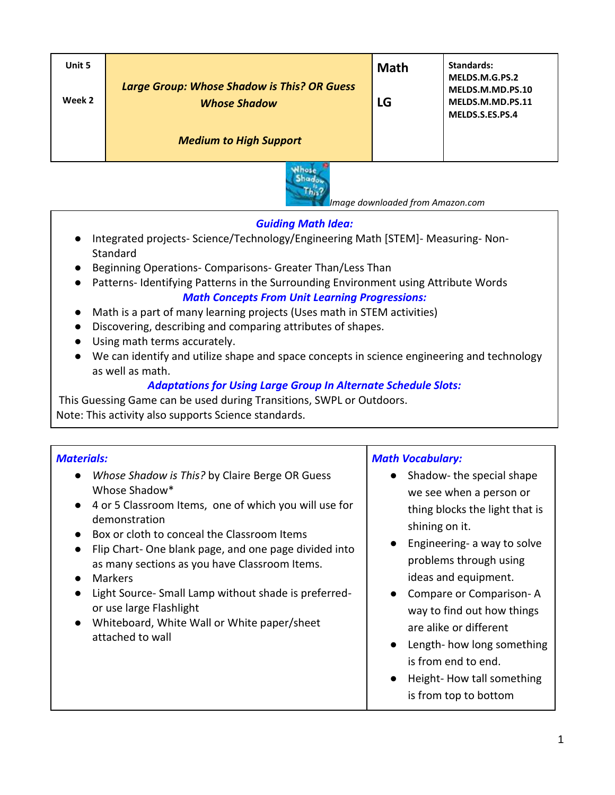| Unit 5<br>Week 2 | <b>Large Group: Whose Shadow is This? OR Guess</b><br><b>Whose Shadow</b> | <b>Math</b><br>LG | Standards:<br>MELDS.M.G.PS.2<br>MELDS.M.MD.PS.10<br>MELDS.M.MD.PS.11<br>MELDS.S.ES.PS.4 |
|------------------|---------------------------------------------------------------------------|-------------------|-----------------------------------------------------------------------------------------|
|                  | <b>Medium to High Support</b>                                             |                   |                                                                                         |



 *Image downloaded from Amazon.com*

### *Guiding Math Idea:*

- Integrated projects- Science/Technology/Engineering Math [STEM]- Measuring- Non-**Standard**
- Beginning Operations- Comparisons- Greater Than/Less Than
- Patterns- Identifying Patterns in the Surrounding Environment using Attribute Words *Math Concepts From Unit Learning Progressions:*
- Math is a part of many learning projects (Uses math in STEM activities)
- Discovering, describing and comparing attributes of shapes.
- Using math terms accurately.
- We can identify and utilize shape and space concepts in science engineering and technology as well as math.

### *Adaptations for Using Large Group In Alternate Schedule Slots:*

This Guessing Game can be used during Transitions, SWPL or Outdoors. Note: This activity also supports Science standards.

# *Materials:*

- *Whose Shadow is This?* by Claire Berge OR Guess Whose Shadow\*
- 4 or 5 Classroom Items, one of which you will use for demonstration
- Box or cloth to conceal the Classroom Items
- Flip Chart- One blank page, and one page divided into as many sections as you have Classroom Items.
- Markers
- Light Source- Small Lamp without shade is preferredor use large Flashlight
- Whiteboard, White Wall or White paper/sheet attached to wall

## *Math Vocabulary:*

- Shadow- the special shape we see when a person or thing blocks the light that is shining on it.
- Engineering- a way to solve problems through using ideas and equipment.
- Compare or Comparison- A way to find out how things are alike or different
- Length- how long something is from end to end.
- Height- How tall something is from top to bottom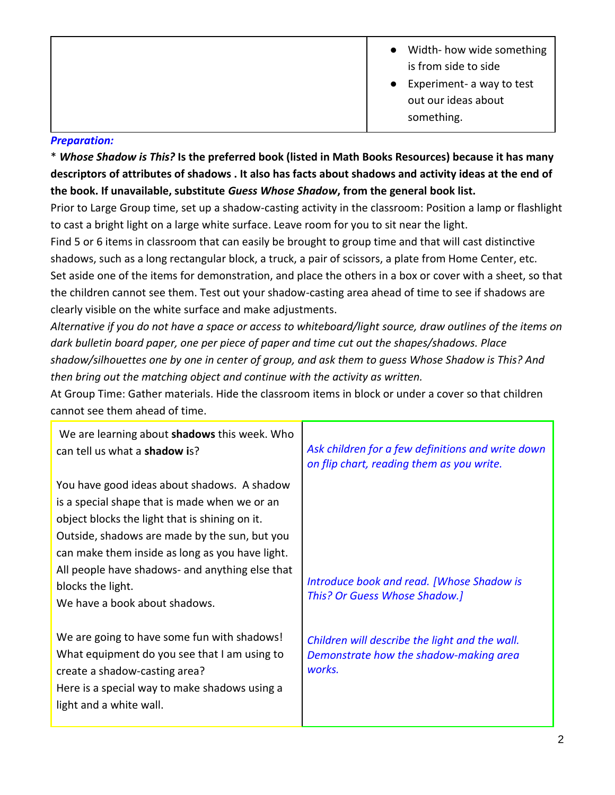- Width- how wide something is from side to side
	- Experiment- a way to test out our ideas about something.

# *Preparation:*

\* *Whose Shadow is This?* **Is the preferred book (listed in Math Books Resources) because it has many descriptors of attributes of shadows . It also has facts about shadows and activity ideas at the end of the book. If unavailable, substitute** *Guess Whose Shadow***, from the general book list.**

Prior to Large Group time, set up a shadow-casting activity in the classroom: Position a lamp or flashlight to cast a bright light on a large white surface. Leave room for you to sit near the light.

Find 5 or 6 items in classroom that can easily be brought to group time and that will cast distinctive shadows, such as a long rectangular block, a truck, a pair of scissors, a plate from Home Center, etc. Set aside one of the items for demonstration, and place the others in a box or cover with a sheet, so that the children cannot see them. Test out your shadow-casting area ahead of time to see if shadows are clearly visible on the white surface and make adjustments.

*Alternative if you do not have a space or access to whiteboard/light source, draw outlines of the items on dark bulletin board paper, one per piece of paper and time cut out the shapes/shadows. Place shadow/silhouettes one by one in center of group, and ask them to guess Whose Shadow is This? And then bring out the matching object and continue with the activity as written.*

At Group Time: Gather materials. Hide the classroom items in block or under a cover so that children cannot see them ahead of time.

| We are learning about <b>shadows</b> this week. Who<br>can tell us what a <b>shadow</b> is?                                                                                                                                                                                                                                                                 | Ask children for a few definitions and write down<br>on flip chart, reading them as you write.     |
|-------------------------------------------------------------------------------------------------------------------------------------------------------------------------------------------------------------------------------------------------------------------------------------------------------------------------------------------------------------|----------------------------------------------------------------------------------------------------|
| You have good ideas about shadows. A shadow<br>is a special shape that is made when we or an<br>object blocks the light that is shining on it.<br>Outside, shadows are made by the sun, but you<br>can make them inside as long as you have light.<br>All people have shadows- and anything else that<br>blocks the light.<br>We have a book about shadows. | Introduce book and read. [Whose Shadow is<br>This? Or Guess Whose Shadow.]                         |
| We are going to have some fun with shadows!<br>What equipment do you see that I am using to<br>create a shadow-casting area?<br>Here is a special way to make shadows using a<br>light and a white wall.                                                                                                                                                    | Children will describe the light and the wall.<br>Demonstrate how the shadow-making area<br>works. |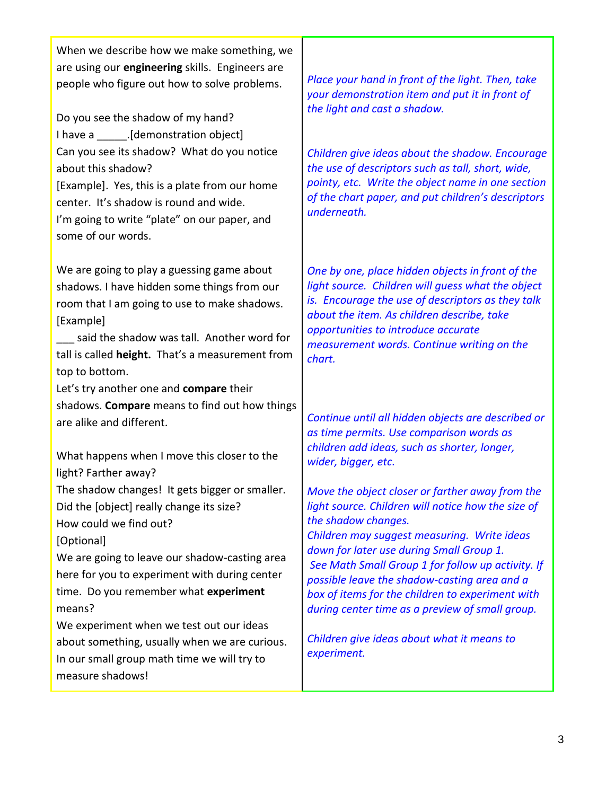When we describe how we make something, we are using our **engineering** skills. Engineers are people who figure out how to solve problems.

Do you see the shadow of my hand? I have a [demonstration object] Can you see its shadow? What do you notice about this shadow? [Example]. Yes, this is a plate from our home center. It's shadow is round and wide. I'm going to write "plate" on our paper, and some of our words.

We are going to play a guessing game about shadows. I have hidden some things from our room that I am going to use to make shadows. [Example]

said the shadow was tall. Another word for tall is called **height.** That's a measurement from top to bottom.

Let's try another one and **compare** their shadows. **Compare** means to find out how things are alike and different.

What happens when I move this closer to the light? Farther away?

The shadow changes! It gets bigger or smaller. Did the [object] really change its size?

How could we find out?

[Optional]

We are going to leave our shadow-casting area here for you to experiment with during center time. Do you remember what **experiment**  means?

We experiment when we test out our ideas about something, usually when we are curious. In our small group math time we will try to measure shadows!

*Place your hand in front of the light. Then, take your demonstration item and put it in front of the light and cast a shadow.* 

*Children give ideas about the shadow. Encourage the use of descriptors such as tall, short, wide, pointy, etc. Write the object name in one section of the chart paper, and put children's descriptors underneath.*

*One by one, place hidden objects in front of the light source. Children will guess what the object is. Encourage the use of descriptors as they talk about the item. As children describe, take opportunities to introduce accurate measurement words. Continue writing on the chart.*

*Continue until all hidden objects are described or as time permits. Use comparison words as children add ideas, such as shorter, longer, wider, bigger, etc.*

*Move the object closer or farther away from the light source. Children will notice how the size of the shadow changes. Children may suggest measuring. Write ideas down for later use during Small Group 1. See Math Small Group 1 for follow up activity. If* 

*possible leave the shadow-casting area and a box of items for the children to experiment with during center time as a preview of small group.*

*Children give ideas about what it means to experiment.*